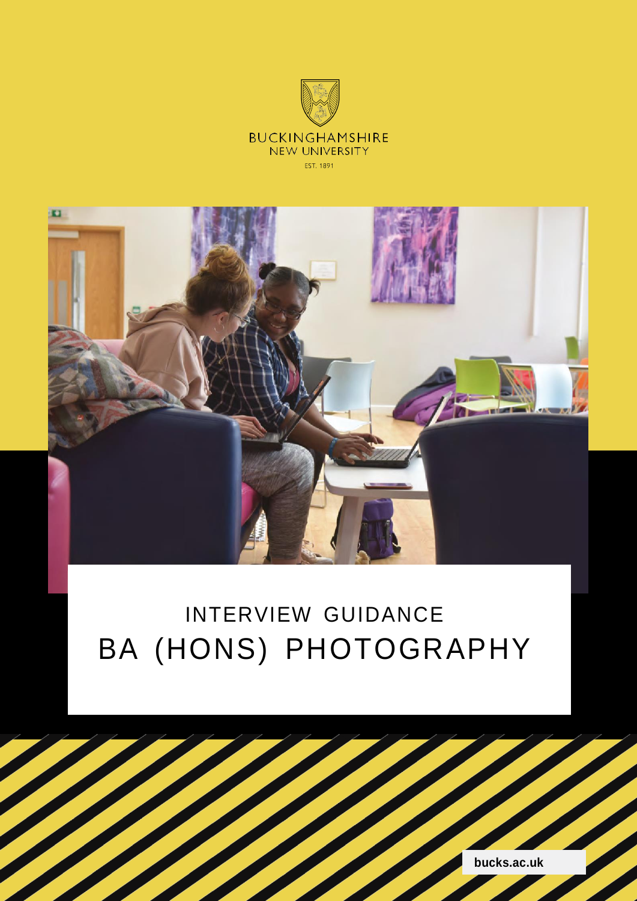

# INTERVIEW GUIDANCE BA (HONS) PHOTOGRAPHY



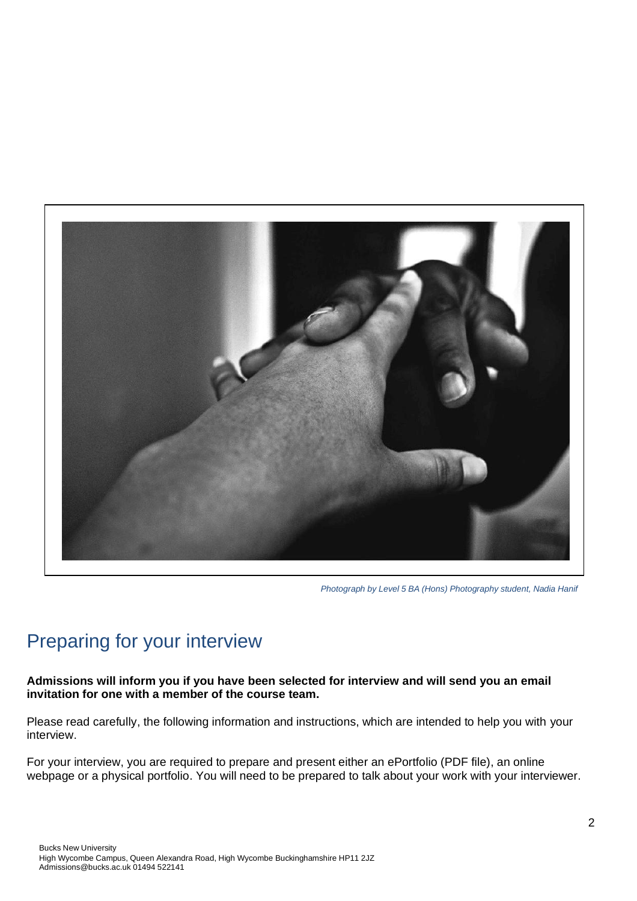

*Photograph by Level 5 BA (Hons) Photography student, Nadia Hanif*

# Preparing for your interview

**Admissions will inform you if you have been selected for interview and will send you an email invitation for one with a member of the course team.**

Please read carefully, the following information and instructions, which are intended to help you with your interview.

For your interview, you are required to prepare and present either an ePortfolio (PDF file), an online webpage or a physical portfolio. You will need to be prepared to talk about your work with your interviewer.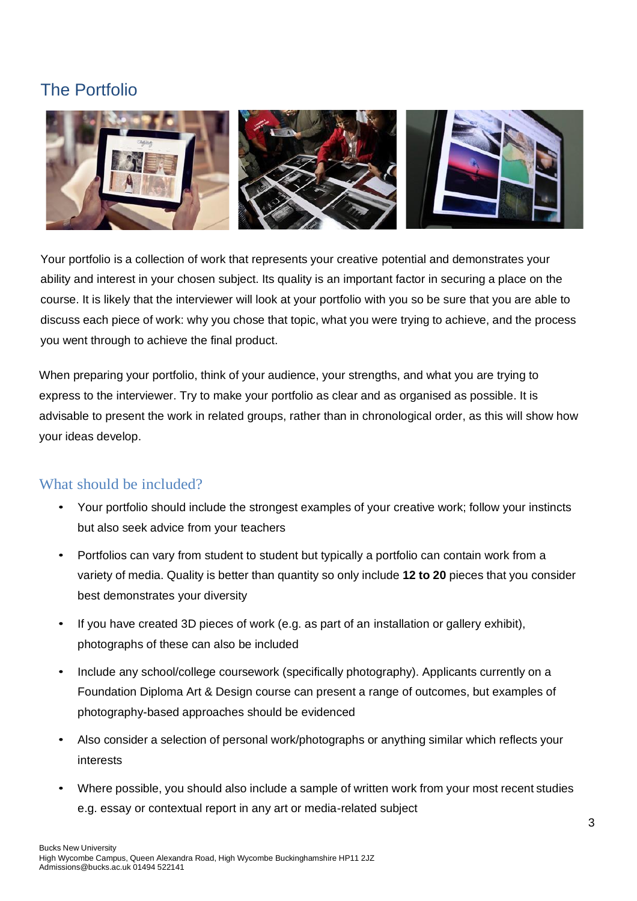## The Portfolio



Your portfolio is a collection of work that represents your creative potential and demonstrates your ability and interest in your chosen subject. Its quality is an important factor in securing a place on the course. It is likely that the interviewer will look at your portfolio with you so be sure that you are able to discuss each piece of work: why you chose that topic, what you were trying to achieve, and the process you went through to achieve the final product.

When preparing your portfolio, think of your audience, your strengths, and what you are trying to express to the interviewer. Try to make your portfolio as clear and as organised as possible. It is advisable to present the work in related groups, rather than in chronological order, as this will show how your ideas develop.

## What should be included?

- Your portfolio should include the strongest examples of your creative work; follow your instincts but also seek advice from your teachers
- Portfolios can vary from student to student but typically a portfolio can contain work from a variety of media. Quality is better than quantity so only include **12 to 20** pieces that you consider best demonstrates your diversity
- If you have created 3D pieces of work (e.g. as part of an installation or gallery exhibit), photographs of these can also be included
- Include any school/college coursework (specifically photography). Applicants currently on a Foundation Diploma Art & Design course can present a range of outcomes, but examples of photography-based approaches should be evidenced
- Also consider a selection of personal work/photographs or anything similar which reflects your interests
- Where possible, you should also include a sample of written work from your most recent studies e.g. essay or contextual report in any art or media-related subject